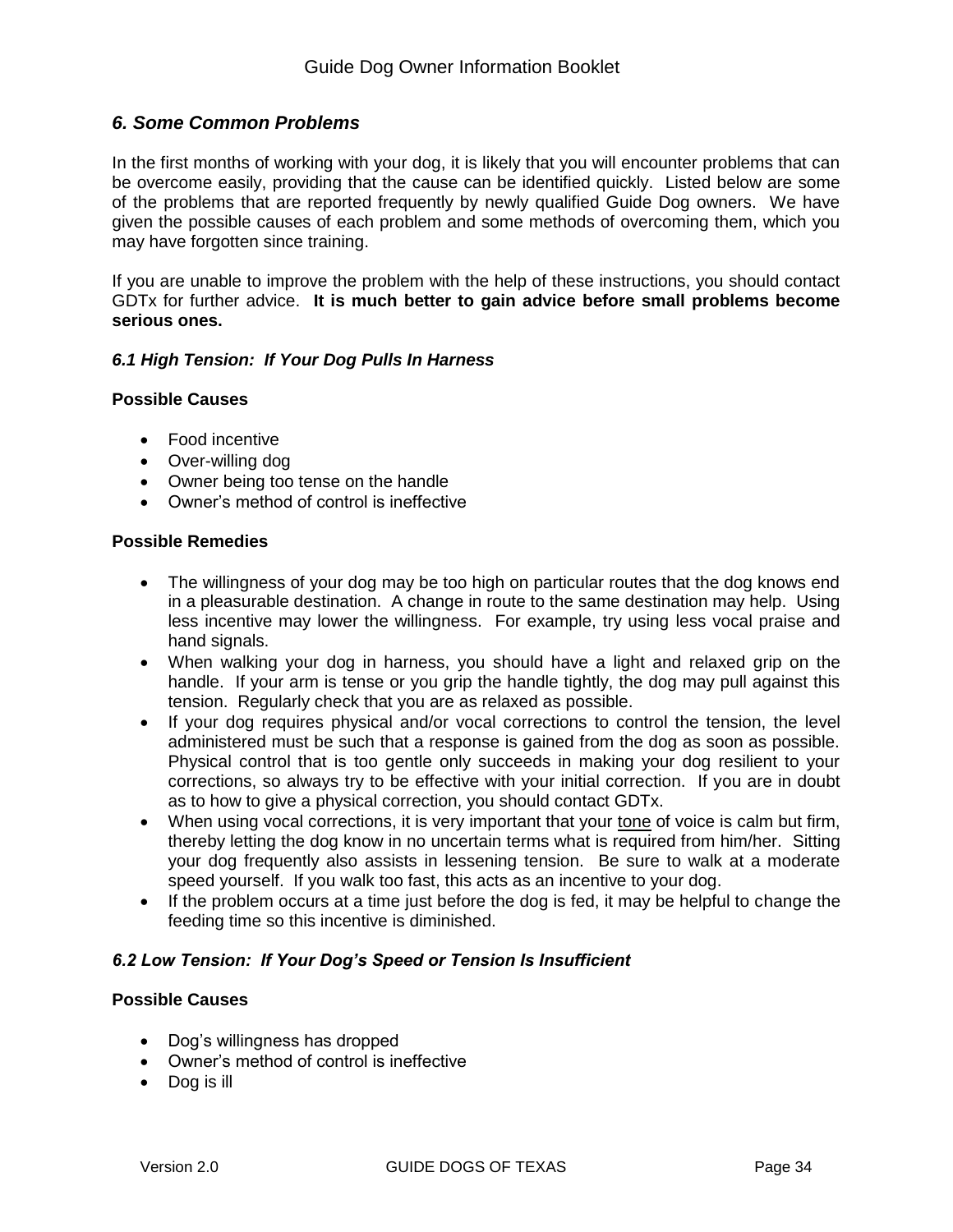# *6. Some Common Problems*

In the first months of working with your dog, it is likely that you will encounter problems that can be overcome easily, providing that the cause can be identified quickly. Listed below are some of the problems that are reported frequently by newly qualified Guide Dog owners. We have given the possible causes of each problem and some methods of overcoming them, which you may have forgotten since training.

If you are unable to improve the problem with the help of these instructions, you should contact GDTx for further advice. **It is much better to gain advice before small problems become serious ones.**

### *6.1 High Tension: If Your Dog Pulls In Harness*

#### **Possible Causes**

- Food incentive
- Over-willing dog
- Owner being too tense on the handle
- Owner's method of control is ineffective

#### **Possible Remedies**

- The willingness of your dog may be too high on particular routes that the dog knows end in a pleasurable destination. A change in route to the same destination may help. Using less incentive may lower the willingness. For example, try using less vocal praise and hand signals.
- When walking your dog in harness, you should have a light and relaxed grip on the handle. If your arm is tense or you grip the handle tightly, the dog may pull against this tension. Regularly check that you are as relaxed as possible.
- If your dog requires physical and/or yocal corrections to control the tension, the level administered must be such that a response is gained from the dog as soon as possible. Physical control that is too gentle only succeeds in making your dog resilient to your corrections, so always try to be effective with your initial correction. If you are in doubt as to how to give a physical correction, you should contact GDTx.
- When using vocal corrections, it is very important that your tone of voice is calm but firm, thereby letting the dog know in no uncertain terms what is required from him/her. Sitting your dog frequently also assists in lessening tension. Be sure to walk at a moderate speed yourself. If you walk too fast, this acts as an incentive to your dog.
- If the problem occurs at a time just before the dog is fed, it may be helpful to change the feeding time so this incentive is diminished.

#### *6.2 Low Tension: If Your Dog's Speed or Tension Is Insufficient*

#### **Possible Causes**

- Dog's willingness has dropped
- Owner's method of control is ineffective
- Dog is ill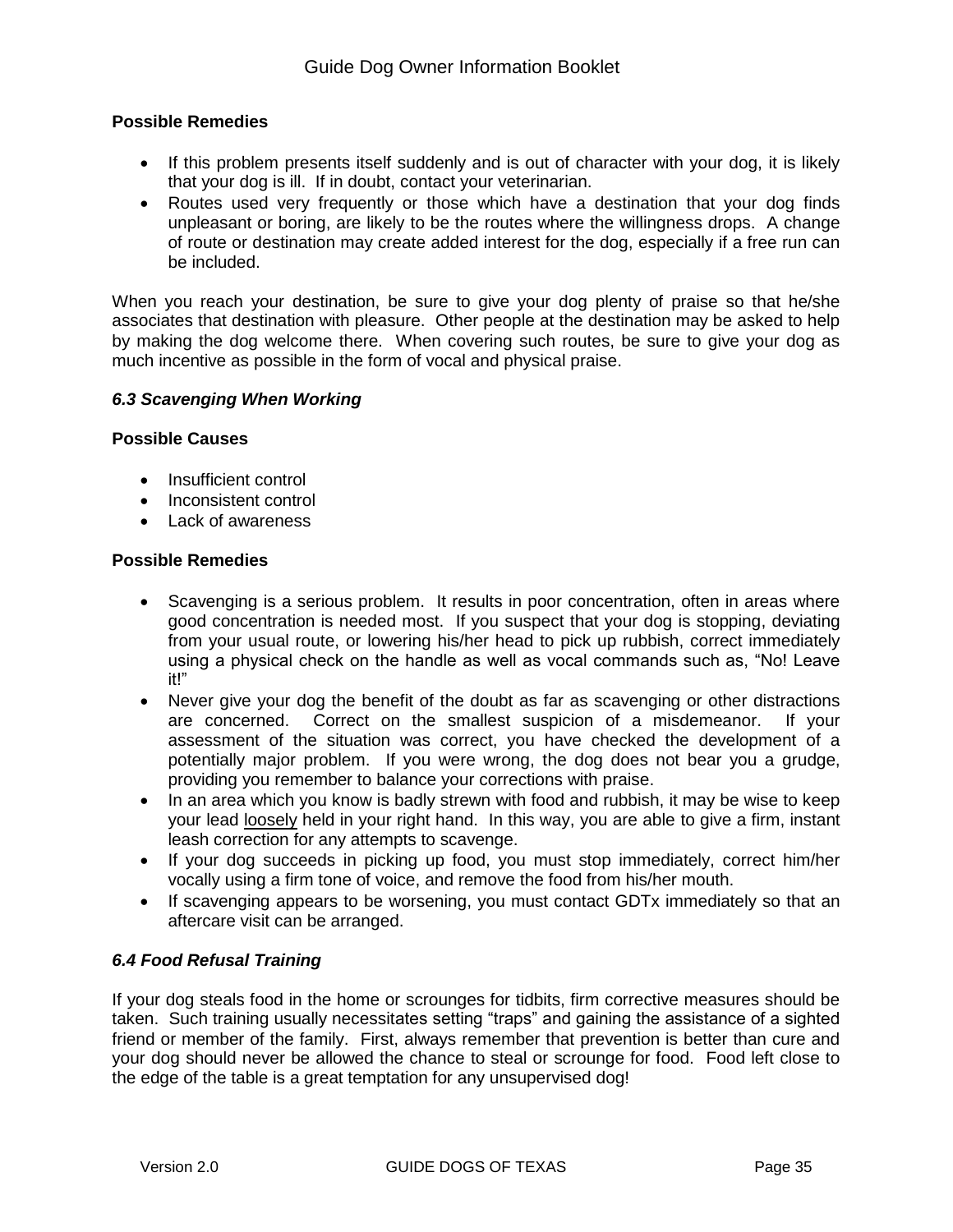## **Possible Remedies**

- If this problem presents itself suddenly and is out of character with your dog, it is likely that your dog is ill. If in doubt, contact your veterinarian.
- Routes used very frequently or those which have a destination that your dog finds unpleasant or boring, are likely to be the routes where the willingness drops. A change of route or destination may create added interest for the dog, especially if a free run can be included.

When you reach your destination, be sure to give your dog plenty of praise so that he/she associates that destination with pleasure. Other people at the destination may be asked to help by making the dog welcome there. When covering such routes, be sure to give your dog as much incentive as possible in the form of vocal and physical praise.

#### *6.3 Scavenging When Working*

### **Possible Causes**

- Insufficient control
- Inconsistent control
- Lack of awareness

#### **Possible Remedies**

- Scavenging is a serious problem. It results in poor concentration, often in areas where good concentration is needed most. If you suspect that your dog is stopping, deviating from your usual route, or lowering his/her head to pick up rubbish, correct immediately using a physical check on the handle as well as vocal commands such as, "No! Leave it!"
- Never give your dog the benefit of the doubt as far as scavenging or other distractions are concerned. Correct on the smallest suspicion of a misdemeanor. If your assessment of the situation was correct, you have checked the development of a potentially major problem. If you were wrong, the dog does not bear you a grudge, providing you remember to balance your corrections with praise.
- In an area which you know is badly strewn with food and rubbish, it may be wise to keep your lead loosely held in your right hand. In this way, you are able to give a firm, instant leash correction for any attempts to scavenge.
- If your dog succeeds in picking up food, you must stop immediately, correct him/her vocally using a firm tone of voice, and remove the food from his/her mouth.
- If scavenging appears to be worsening, you must contact GDTx immediately so that an aftercare visit can be arranged.

#### *6.4 Food Refusal Training*

If your dog steals food in the home or scrounges for tidbits, firm corrective measures should be taken. Such training usually necessitates setting "traps" and gaining the assistance of a sighted friend or member of the family. First, always remember that prevention is better than cure and your dog should never be allowed the chance to steal or scrounge for food. Food left close to the edge of the table is a great temptation for any unsupervised dog!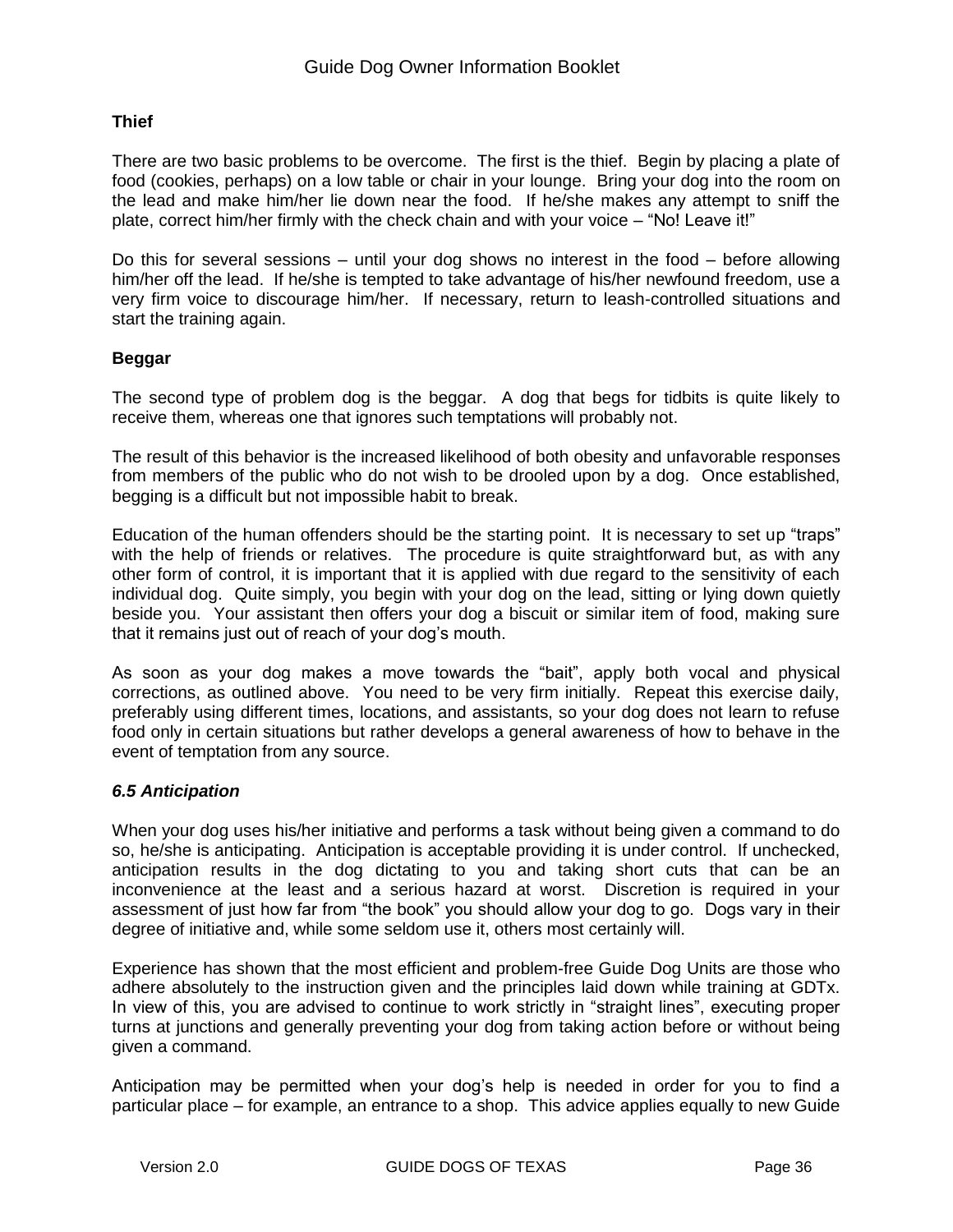## **Thief**

There are two basic problems to be overcome. The first is the thief. Begin by placing a plate of food (cookies, perhaps) on a low table or chair in your lounge. Bring your dog into the room on the lead and make him/her lie down near the food. If he/she makes any attempt to sniff the plate, correct him/her firmly with the check chain and with your voice – "No! Leave it!"

Do this for several sessions – until your dog shows no interest in the food – before allowing him/her off the lead. If he/she is tempted to take advantage of his/her newfound freedom, use a very firm voice to discourage him/her. If necessary, return to leash-controlled situations and start the training again.

#### **Beggar**

The second type of problem dog is the beggar. A dog that begs for tidbits is quite likely to receive them, whereas one that ignores such temptations will probably not.

The result of this behavior is the increased likelihood of both obesity and unfavorable responses from members of the public who do not wish to be drooled upon by a dog. Once established, begging is a difficult but not impossible habit to break.

Education of the human offenders should be the starting point. It is necessary to set up "traps" with the help of friends or relatives. The procedure is quite straightforward but, as with any other form of control, it is important that it is applied with due regard to the sensitivity of each individual dog. Quite simply, you begin with your dog on the lead, sitting or lying down quietly beside you. Your assistant then offers your dog a biscuit or similar item of food, making sure that it remains just out of reach of your dog's mouth.

As soon as your dog makes a move towards the "bait", apply both vocal and physical corrections, as outlined above. You need to be very firm initially. Repeat this exercise daily, preferably using different times, locations, and assistants, so your dog does not learn to refuse food only in certain situations but rather develops a general awareness of how to behave in the event of temptation from any source.

#### *6.5 Anticipation*

When your dog uses his/her initiative and performs a task without being given a command to do so, he/she is anticipating. Anticipation is acceptable providing it is under control. If unchecked, anticipation results in the dog dictating to you and taking short cuts that can be an inconvenience at the least and a serious hazard at worst. Discretion is required in your assessment of just how far from "the book" you should allow your dog to go. Dogs vary in their degree of initiative and, while some seldom use it, others most certainly will.

Experience has shown that the most efficient and problem-free Guide Dog Units are those who adhere absolutely to the instruction given and the principles laid down while training at GDTx. In view of this, you are advised to continue to work strictly in "straight lines", executing proper turns at junctions and generally preventing your dog from taking action before or without being given a command.

Anticipation may be permitted when your dog's help is needed in order for you to find a particular place – for example, an entrance to a shop. This advice applies equally to new Guide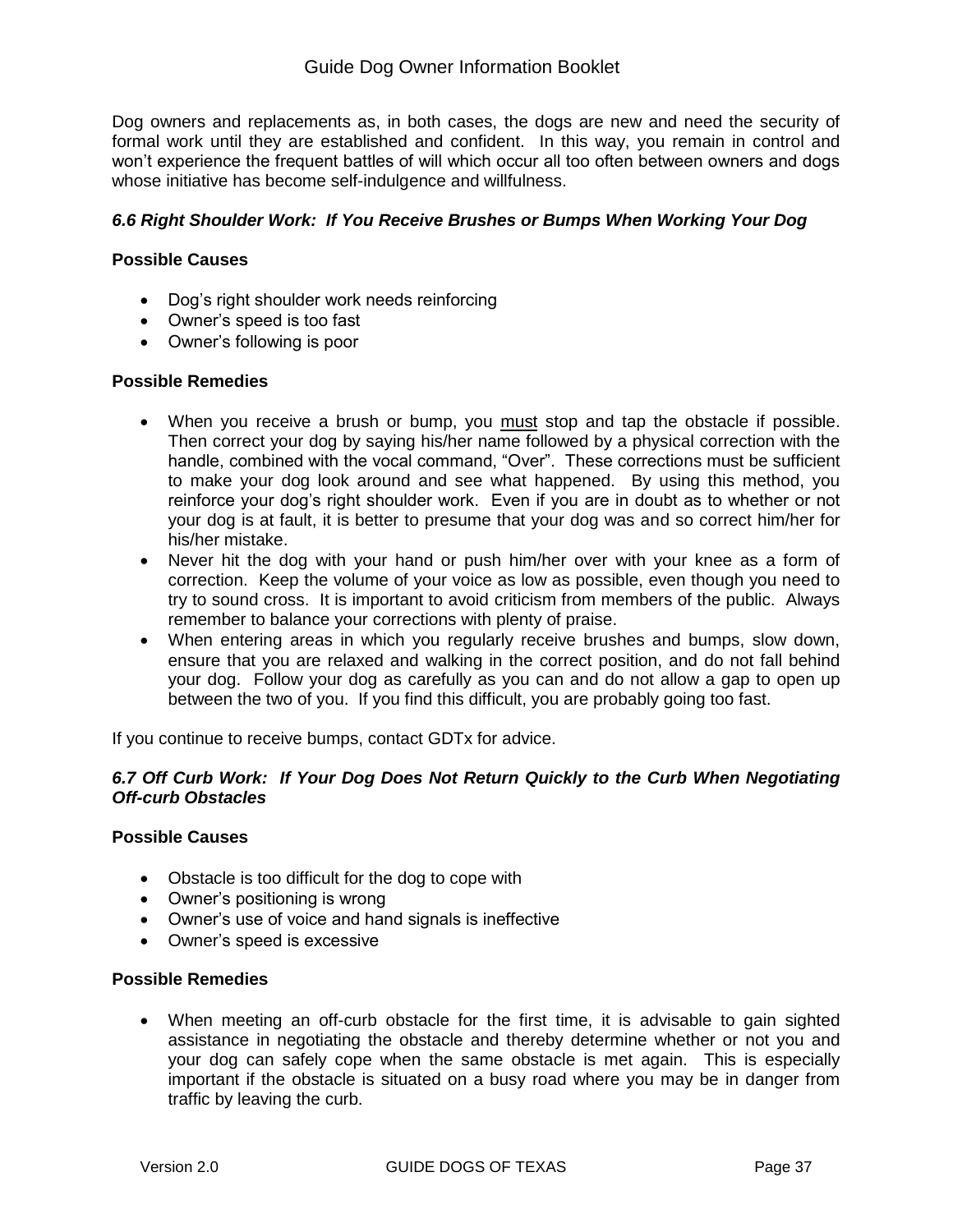Dog owners and replacements as, in both cases, the dogs are new and need the security of formal work until they are established and confident. In this way, you remain in control and won't experience the frequent battles of will which occur all too often between owners and dogs whose initiative has become self-indulgence and willfulness.

## *6.6 Right Shoulder Work: If You Receive Brushes or Bumps When Working Your Dog*

### **Possible Causes**

- Dog's right shoulder work needs reinforcing
- Owner's speed is too fast
- Owner's following is poor

#### **Possible Remedies**

- When you receive a brush or bump, you must stop and tap the obstacle if possible. Then correct your dog by saying his/her name followed by a physical correction with the handle, combined with the vocal command, "Over". These corrections must be sufficient to make your dog look around and see what happened. By using this method, you reinforce your dog's right shoulder work. Even if you are in doubt as to whether or not your dog is at fault, it is better to presume that your dog was and so correct him/her for his/her mistake.
- Never hit the dog with your hand or push him/her over with your knee as a form of correction. Keep the volume of your voice as low as possible, even though you need to try to sound cross. It is important to avoid criticism from members of the public. Always remember to balance your corrections with plenty of praise.
- When entering areas in which you regularly receive brushes and bumps, slow down, ensure that you are relaxed and walking in the correct position, and do not fall behind your dog. Follow your dog as carefully as you can and do not allow a gap to open up between the two of you. If you find this difficult, you are probably going too fast.

If you continue to receive bumps, contact GDTx for advice.

## *6.7 Off Curb Work: If Your Dog Does Not Return Quickly to the Curb When Negotiating Off-curb Obstacles*

#### **Possible Causes**

- Obstacle is too difficult for the dog to cope with
- Owner's positioning is wrong
- Owner's use of voice and hand signals is ineffective
- Owner's speed is excessive

#### **Possible Remedies**

 When meeting an off-curb obstacle for the first time, it is advisable to gain sighted assistance in negotiating the obstacle and thereby determine whether or not you and your dog can safely cope when the same obstacle is met again. This is especially important if the obstacle is situated on a busy road where you may be in danger from traffic by leaving the curb.